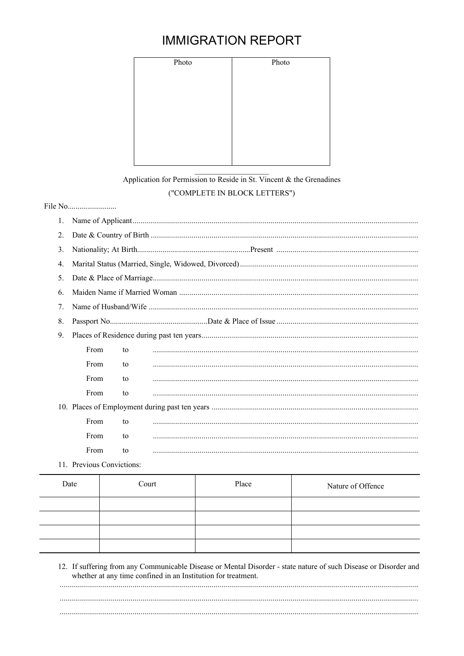## **IMMIGRATION REPORT**

| Photo | Photo |
|-------|-------|
|       |       |
|       |       |
|       |       |
|       |       |
|       |       |
|       |       |
|       |       |

## Application for Permission to Reside in St. Vincent  $\&$  the Grenadines ("COMPLETE IN BLOCK LETTERS")

| 1.                              |                     |    |  |  |  |
|---------------------------------|---------------------|----|--|--|--|
| 2.                              |                     |    |  |  |  |
| 3.                              |                     |    |  |  |  |
| 4.                              |                     |    |  |  |  |
| 5.                              |                     |    |  |  |  |
| 6.                              |                     |    |  |  |  |
| $7_{\scriptscriptstyle{\circ}}$ |                     |    |  |  |  |
| 8.                              |                     |    |  |  |  |
| 9.                              |                     |    |  |  |  |
|                                 | From                | to |  |  |  |
|                                 | From                | to |  |  |  |
|                                 | From                | to |  |  |  |
|                                 | From                | to |  |  |  |
|                                 |                     |    |  |  |  |
|                                 | From                | to |  |  |  |
|                                 | From                | to |  |  |  |
|                                 | From                | to |  |  |  |
|                                 | $11 \quad \text{D}$ |    |  |  |  |

11. Previous Convictions:

| Date | Court | Place | Nature of Offence |
|------|-------|-------|-------------------|
|      |       |       |                   |
|      |       |       |                   |
|      |       |       |                   |
|      |       |       |                   |

12. If suffering from any Communicable Disease or Mental Disorder - state nature of such Disease or Disorder and whether at any time confined in an Institution for treatment.